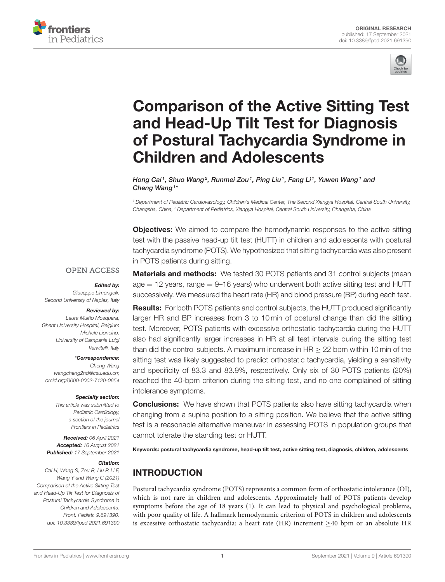



# Comparison of the Active Sitting Test and Head-Up Tilt Test for Diagnosis [of Postural Tachycardia Syndrome in](https://www.frontiersin.org/articles/10.3389/fped.2021.691390/full) Children and Adolescents

Hong Cai<sup>1</sup>, Shuo Wang<sup>2</sup>, Runmei Zou<sup>1</sup>, Ping Liu<sup>1</sup>, Fang Li<sup>1</sup>, Yuwen Wang<sup>1</sup> and Cheng Wang<sup>1\*</sup>

<sup>1</sup> Department of Pediatric Cardiovasology, Children's Medical Center, The Second Xiangya Hospital, Central South University, Changsha, China, <sup>2</sup> Department of Pediatrics, Xiangya Hospital, Central South University, Changsha, China

**Objectives:** We aimed to compare the hemodynamic responses to the active sitting test with the passive head-up tilt test (HUTT) in children and adolescents with postural tachycardia syndrome (POTS). We hypothesized that sitting tachycardia was also present in POTS patients during sitting.

#### **OPEN ACCESS**

#### Edited by:

Giuseppe Limongelli, Second University of Naples, Italy

#### Reviewed by:

Laura Muiño Mosquera, Ghent University Hospital, Belgium Michele Lioncino, University of Campania Luigi Vanvitelli, Italy

#### \*Correspondence:

Cheng Wang [wangcheng2nd@csu.edu.cn;](mailto:wangcheng2nd@csu.edu.cn) [orcid.org/0000-0002-7120-0654](https://orcid.org/0000-0002-7120-0654)

#### Specialty section:

This article was submitted to Pediatric Cardiology, a section of the journal Frontiers in Pediatrics

Received: 06 April 2021 Accepted: 16 August 2021 Published: 17 September 2021

#### Citation:

Cai H, Wang S, Zou R, Liu P, Li F, Wang Y and Wang C (2021) Comparison of the Active Sitting Test and Head-Up Tilt Test for Diagnosis of Postural Tachycardia Syndrome in Children and Adolescents. Front. Pediatr. 9:691390. doi: [10.3389/fped.2021.691390](https://doi.org/10.3389/fped.2021.691390)

Materials and methods: We tested 30 POTS patients and 31 control subjects (mean  $a_{\text{g}} = 12$  years, range  $= 9$ –16 years) who underwent both active sitting test and HUTT successively. We measured the heart rate (HR) and blood pressure (BP) during each test.

**Results:** For both POTS patients and control subjects, the HUTT produced significantly larger HR and BP increases from 3 to 10 min of postural change than did the sitting test. Moreover, POTS patients with excessive orthostatic tachycardia during the HUTT also had significantly larger increases in HR at all test intervals during the sitting test than did the control subjects. A maximum increase in  $HR > 22$  bpm within 10 min of the sitting test was likely suggested to predict orthostatic tachycardia, yielding a sensitivity and specificity of 83.3 and 83.9%, respectively. Only six of 30 POTS patients (20%) reached the 40-bpm criterion during the sitting test, and no one complained of sitting intolerance symptoms.

**Conclusions:** We have shown that POTS patients also have sitting tachycardia when changing from a supine position to a sitting position. We believe that the active sitting test is a reasonable alternative maneuver in assessing POTS in population groups that cannot tolerate the standing test or HUTT.

Keywords: postural tachycardia syndrome, head-up tilt test, active sitting test, diagnosis, children, adolescents

# INTRODUCTION

Postural tachycardia syndrome (POTS) represents a common form of orthostatic intolerance (OI), which is not rare in children and adolescents. Approximately half of POTS patients develop symptoms before the age of 18 years [\(1\)](#page-5-0). It can lead to physical and psychological problems, with poor quality of life. A hallmark hemodynamic criterion of POTS in children and adolescents is excessive orthostatic tachycardia: a heart rate (HR) increment  $\geq$ 40 bpm or an absolute HR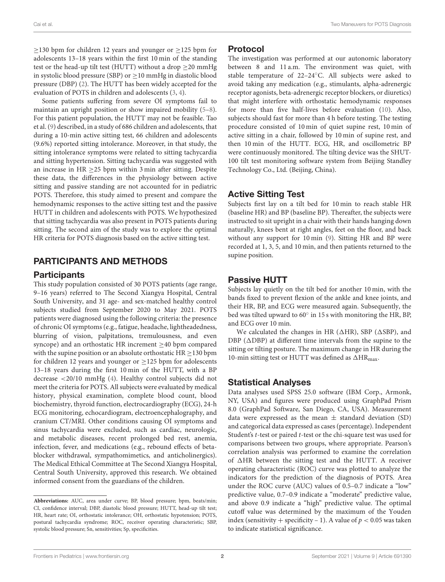$\geq$ 130 bpm for children 12 years and younger or  $\geq$ 125 bpm for adolescents 13–18 years within the first 10 min of the standing test or the head-up tilt test (HUTT) without a drop  $\geq$  20 mmHg in systolic blood pressure (SBP) or  $\geq$ 10 mmHg in diastolic blood pressure (DBP) [\(2\)](#page-5-1). The HUTT has been widely accepted for the evaluation of POTS in children and adolescents [\(3,](#page-5-2) [4\)](#page-5-3).

Some patients suffering from severe OI symptoms fail to maintain an upright position or show impaired mobility [\(5](#page-5-4)[–8\)](#page-5-5). For this patient population, the HUTT may not be feasible. Tao et al. [\(9\)](#page-5-6) described, in a study of 686 children and adolescents, that during a 10-min active sitting test, 66 children and adolescents (9.6%) reported sitting intolerance. Moreover, in that study, the sitting intolerance symptoms were related to sitting tachycardia and sitting hypertension. Sitting tachycardia was suggested with an increase in HR  $\geq$  25 bpm within 3 min after sitting. Despite these data, the differences in the physiology between active sitting and passive standing are not accounted for in pediatric POTS. Therefore, this study aimed to present and compare the hemodynamic responses to the active sitting test and the passive HUTT in children and adolescents with POTS. We hypothesized that sitting tachycardia was also present in POTS patients during sitting. The second aim of the study was to explore the optimal HR criteria for POTS diagnosis based on the active sitting test.

# PARTICIPANTS AND METHODS

#### **Participants**

This study population consisted of 30 POTS patients (age range, 9–16 years) referred to The Second Xiangya Hospital, Central South University, and 31 age- and sex-matched healthy control subjects studied from September 2020 to May 2021. POTS patients were diagnosed using the following criteria: the presence of chronic OI symptoms (e.g., fatigue, headache, lightheadedness, blurring of vision, palpitations, tremulousness, and even syncope) and an orthostatic HR increment ≥40 bpm compared with the supine position or an absolute orthostatic HR  $\geq$  130 bpm for children 12 years and younger or  $\geq$  125 bpm for adolescents 13–18 years during the first 10 min of the HUTT, with a BP decrease <20/10 mmHg [\(4\)](#page-5-3). Healthy control subjects did not meet the criteria for POTS. All subjects were evaluated by medical history, physical examination, complete blood count, blood biochemistry, thyroid function, electrocardiography (ECG), 24-h ECG monitoring, echocardiogram, electroencephalography, and cranium CT/MRI. Other conditions causing OI symptoms and sinus tachycardia were excluded, such as cardiac, neurologic, and metabolic diseases, recent prolonged bed rest, anemia, infection, fever, and medications (e.g., rebound effects of betablocker withdrawal, sympathomimetics, and anticholinergics). The Medical Ethical Committee at The Second Xiangya Hospital, Central South University, approved this research. We obtained informed consent from the guardians of the children.

#### Protocol

The investigation was performed at our autonomic laboratory between 8 and 11 a.m. The environment was quiet, with stable temperature of 22–24◦C. All subjects were asked to avoid taking any medication (e.g., stimulants, alpha-adrenergic receptor agonists, beta-adrenergic receptor blockers, or diuretics) that might interfere with orthostatic hemodynamic responses for more than five half-lives before evaluation [\(10\)](#page-5-7). Also, subjects should fast for more than 4 h before testing. The testing procedure consisted of 10 min of quiet supine rest, 10 min of active sitting in a chair, followed by 10 min of supine rest, and then 10 min of the HUTT. ECG, HR, and oscillometric BP were continuously monitored. The tilting device was the SHUT-100 tilt test monitoring software system from Beijing Standley Technology Co., Ltd. (Beijing, China).

# Active Sitting Test

Subjects first lay on a tilt bed for 10 min to reach stable HR (baseline HR) and BP (baseline BP). Thereafter, the subjects were instructed to sit upright in a chair with their hands hanging down naturally, knees bent at right angles, feet on the floor, and back without any support for 10 min [\(9\)](#page-5-6). Sitting HR and BP were recorded at 1, 3, 5, and 10 min, and then patients returned to the supine position.

# Passive HUTT

Subjects lay quietly on the tilt bed for another 10 min, with the bands fixed to prevent flexion of the ankle and knee joints, and their HR, BP, and ECG were measured again. Subsequently, the bed was tilted upward to 60° in 15 s with monitoring the HR, BP, and ECG over 10 min.

We calculated the changes in HR ( $\triangle$ HR), SBP ( $\triangle$ SBP), and DBP ( $\triangle$ DBP) at different time intervals from the supine to the sitting or tilting posture. The maximum change in HR during the 10-min sitting test or HUTT was defined as  $\Delta HR_{\text{max}}$ .

## Statistical Analyses

Data analyses used SPSS 25.0 software (IBM Corp., Armonk, NY, USA) and figures were produced using GraphPad Prism 8.0 (GraphPad Software, San Diego, CA, USA). Measurement data were expressed as the mean  $\pm$  standard deviation (SD) and categorical data expressed as cases (percentage). Independent Student's t-test or paired t-test or the chi-square test was used for comparisons between two groups, where appropriate. Pearson's correlation analysis was performed to examine the correlation of  $\triangle$ HR between the sitting test and the HUTT. A receiver operating characteristic (ROC) curve was plotted to analyze the indicators for the prediction of the diagnosis of POTS. Area under the ROC curve (AUC) values of 0.5–0.7 indicate a "low" predictive value, 0.7–0.9 indicate a "moderate" predictive value, and above 0.9 indicate a "high" predictive value. The optimal cutoff value was determined by the maximum of the Youden index (sensitivity + specificity - 1). A value of  $p < 0.05$  was taken to indicate statistical significance.

**Abbreviations:** AUC, area under curve; BP, blood pressure; bpm, beats/min; CI, confidence interval; DBP, diastolic blood pressure; HUTT, head-up tilt test; HR, heart rate; OI, orthostatic intolerance; OH, orthostatic hypotension; POTS, postural tachycardia syndrome; ROC, receiver operating characteristic; SBP, systolic blood pressure; Sn, sensitivities; Sp, specificities.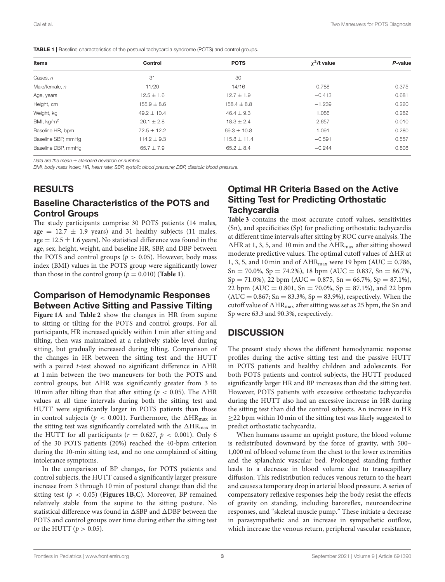<span id="page-2-0"></span>

|  |  | <b>TABLE 1</b>   Baseline characteristics of the postural tachycardia syndrome (POTS) and control groups. |
|--|--|-----------------------------------------------------------------------------------------------------------|
|  |  |                                                                                                           |

| <b>Items</b>       | Control         | <b>POTS</b>      | $\chi^2$ /t value | P-value |
|--------------------|-----------------|------------------|-------------------|---------|
| Cases, n           | 31              | 30               |                   |         |
| Male/female, n     | 11/20           | 14/16            | 0.788             | 0.375   |
| Age, years         | $12.5 \pm 1.6$  | $12.7 \pm 1.9$   | $-0.413$          | 0.681   |
| Height, cm         | $155.9 \pm 8.6$ | $158.4 \pm 8.8$  | $-1.239$          | 0.220   |
| Weight, kg         | $49.2 \pm 10.4$ | $46.4 \pm 9.3$   | 1.086             | 0.282   |
| BMI, $kg/m2$       | $20.1 \pm 2.8$  | $18.3 \pm 2.4$   | 2.657             | 0.010   |
| Baseline HR, bpm   | $72.5 \pm 12.2$ | $69.3 \pm 10.8$  | 1.091             | 0.280   |
| Baseline SBP, mmHg | $114.2 \pm 9.3$ | $115.8 \pm 11.4$ | $-0.591$          | 0.557   |
| Baseline DBP, mmHq | $65.7 \pm 7.9$  | $65.2 \pm 8.4$   | $-0.244$          | 0.808   |

Data are the mean  $\pm$  standard deviation or number.

BMI, body mass index; HR, heart rate; SBP, systolic blood pressure; DBP, diastolic blood pressure.

#### RESULTS

#### Baseline Characteristics of the POTS and Control Groups

The study participants comprise 30 POTS patients (14 males, age =  $12.7 \pm 1.9$  years) and 31 healthy subjects (11 males, age  $= 12.5 \pm 1.6$  years). No statistical difference was found in the age, sex, height, weight, and baseline HR, SBP, and DBP between the POTS and control groups ( $p > 0.05$ ). However, body mass index (BMI) values in the POTS group were significantly lower than those in the control group ( $p = 0.010$ ) (**[Table 1](#page-2-0)**).

#### Comparison of Hemodynamic Responses Between Active Sitting and Passive Tilting

**[Figure 1A](#page-3-0)** and **[Table 2](#page-4-0)** show the changes in HR from supine to sitting or tilting for the POTS and control groups. For all participants, HR increased quickly within 1 min after sitting and tilting, then was maintained at a relatively stable level during sitting, but gradually increased during tilting. Comparison of the changes in HR between the sitting test and the HUTT with a paired *t*-test showed no significant difference in  $\Delta HR$ at 1 min between the two maneuvers for both the POTS and control groups, but  $\triangle$ HR was significantly greater from 3 to 10 min after tilting than that after sitting ( $p < 0.05$ ). The  $\triangle$ HR values at all time intervals during both the sitting test and HUTT were significantly larger in POTS patients than those in control subjects ( $p < 0.001$ ). Furthermore, the  $\Delta HR_{\text{max}}$  in the sitting test was significantly correlated with the  $\Delta HR_{max}$  in the HUTT for all participants ( $r = 0.627$ ,  $p < 0.001$ ). Only 6 of the 30 POTS patients (20%) reached the 40-bpm criterion during the 10-min sitting test, and no one complained of sitting intolerance symptoms.

In the comparison of BP changes, for POTS patients and control subjects, the HUTT caused a significantly larger pressure increase from 3 through 10 min of postural change than did the sitting test ( $p < 0.05$ ) (**[Figures 1B,C](#page-3-0)**). Moreover, BP remained relatively stable from the supine to the sitting posture. No statistical difference was found in  $\triangle$ SBP and  $\triangle$ DBP between the POTS and control groups over time during either the sitting test or the HUTT ( $p > 0.05$ ).

# Optimal HR Criteria Based on the Active Sitting Test for Predicting Orthostatic **Tachycardia**

**[Table 3](#page-4-1)** contains the most accurate cutoff values, sensitivities (Sn), and specificities (Sp) for predicting orthostatic tachycardia at different time intervals after sitting by ROC curve analysis. The  $\Delta$ HR at 1, 3, 5, and 10 min and the  $\Delta$ HR<sub>max</sub> after sitting showed moderate predictive values. The optimal cutoff values of  $\triangle$ HR at 1, 3, 5, and 10 min and of  $\triangle$ HR<sub>max</sub> were 19 bpm (AUC = 0.786,  $Sn = 70.0\%$ ,  $Sp = 74.2\%$ ), 18 bpm (AUC = 0.837,  $Sn = 86.7\%$ ,  $Sp = 71.0\%$ , 22 bpm (AUC = 0.875, Sn = 66.7%, Sp = 87.1%), 22 bpm (AUC = 0.801, Sn = 70.0%, Sp = 87.1%), and 22 bpm  $(AUC = 0.867; Sn = 83.3%, Sp = 83.9%), respectively. When the$ cutoff value of  $\Delta HR_{\text{max}}$  after sitting was set as 25 bpm, the Sn and Sp were 63.3 and 90.3%, respectively.

## **DISCUSSION**

The present study shows the different hemodynamic response profiles during the active sitting test and the passive HUTT in POTS patients and healthy children and adolescents. For both POTS patients and control subjects, the HUTT produced significantly larger HR and BP increases than did the sitting test. However, POTS patients with excessive orthostatic tachycardia during the HUTT also had an excessive increase in HR during the sitting test than did the control subjects. An increase in HR ≥22 bpm within 10 min of the sitting test was likely suggested to predict orthostatic tachycardia.

When humans assume an upright posture, the blood volume is redistributed downward by the force of gravity, with 500– 1,000 ml of blood volume from the chest to the lower extremities and the splanchnic vascular bed. Prolonged standing further leads to a decrease in blood volume due to transcapillary diffusion. This redistribution reduces venous return to the heart and causes a temporary drop in arterial blood pressure. A series of compensatory reflexive responses help the body resist the effects of gravity on standing, including baroreflex, neuroendocrine responses, and "skeletal muscle pump." These initiate a decrease in parasympathetic and an increase in sympathetic outflow, which increase the venous return, peripheral vascular resistance,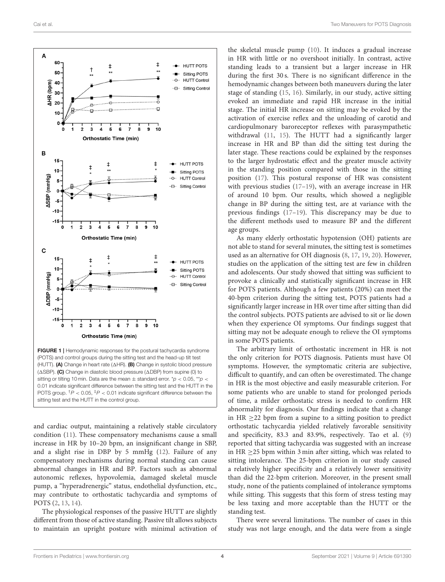

<span id="page-3-0"></span>FIGURE 1 | Hemodynamic responses for the postural tachycardia syndrome (POTS) and control groups during the sitting test and the head-up tilt test (HUTT). (A) Change in heart rate ( $\triangle$ HR). (B) Change in systolic blood pressure ( $\triangle$ SBP). (C) Change in diastolic blood pressure ( $\triangle$ DBP) from supine (0) to sitting or tilting 10 min. Data are the mean  $+$  standard error,  $*p < 0.05$ ,  $*p <$ 0.01 indicate significant difference between the sitting test and the HUTT in the POTS group.  $\frac{tp}{p} < 0.05$ ,  $\frac{tp}{p} < 0.01$  indicate significant difference between the sitting test and the HUTT in the control group.

and cardiac output, maintaining a relatively stable circulatory condition [\(11\)](#page-5-8). These compensatory mechanisms cause a small increase in HR by 10–20 bpm, an insignificant change in SBP, and a slight rise in DBP by 5 mmHg [\(12\)](#page-5-9). Failure of any compensatory mechanisms during normal standing can cause abnormal changes in HR and BP. Factors such as abnormal autonomic reflexes, hypovolemia, damaged skeletal muscle pump, a "hyperadrenergic" status, endothelial dysfunction, etc., may contribute to orthostatic tachycardia and symptoms of POTS [\(2,](#page-5-1) [13,](#page-5-10) [14\)](#page-5-11).

The physiological responses of the passive HUTT are slightly different from those of active standing. Passive tilt allows subjects to maintain an upright posture with minimal activation of

the skeletal muscle pump [\(10\)](#page-5-7). It induces a gradual increase in HR with little or no overshoot initially. In contrast, active standing leads to a transient but a larger increase in HR during the first 30 s. There is no significant difference in the hemodynamic changes between both maneuvers during the later stage of standing [\(15,](#page-5-12) [16\)](#page-5-13). Similarly, in our study, active sitting evoked an immediate and rapid HR increase in the initial stage. The initial HR increase on sitting may be evoked by the activation of exercise reflex and the unloading of carotid and cardiopulmonary baroreceptor reflexes with parasympathetic withdrawal [\(11,](#page-5-8) [15\)](#page-5-12). The HUTT had a significantly larger increase in HR and BP than did the sitting test during the later stage. These reactions could be explained by the responses to the larger hydrostatic effect and the greater muscle activity in the standing position compared with those in the sitting position [\(17\)](#page-5-14). This postural response of HR was consistent with previous studies [\(17–](#page-5-14)[19\)](#page-5-15), with an average increase in HR of around 10 bpm. Our results, which showed a negligible change in BP during the sitting test, are at variance with the previous findings [\(17](#page-5-14)[–19\)](#page-5-15). This discrepancy may be due to the different methods used to measure BP and the different age groups.

As many elderly orthostatic hypotension (OH) patients are not able to stand for several minutes, the sitting test is sometimes used as an alternative for OH diagnosis [\(8,](#page-5-5) [17,](#page-5-14) [19,](#page-5-15) [20\)](#page-5-16). However, studies on the application of the sitting test are few in children and adolescents. Our study showed that sitting was sufficient to provoke a clinically and statistically significant increase in HR for POTS patients. Although a few patients (20%) can meet the 40-bpm criterion during the sitting test, POTS patients had a significantly larger increase in HR over time after sitting than did the control subjects. POTS patients are advised to sit or lie down when they experience OI symptoms. Our findings suggest that sitting may not be adequate enough to relieve the OI symptoms in some POTS patients.

The arbitrary limit of orthostatic increment in HR is not the only criterion for POTS diagnosis. Patients must have OI symptoms. However, the symptomatic criteria are subjective, difficult to quantify, and can often be overestimated. The change in HR is the most objective and easily measurable criterion. For some patients who are unable to stand for prolonged periods of time, a milder orthostatic stress is needed to confirm HR abnormality for diagnosis. Our findings indicate that a change in HR  $\geq$  22 bpm from a supine to a sitting position to predict orthostatic tachycardia yielded relatively favorable sensitivity and specificity, 83.3 and 83.9%, respectively. Tao et al. [\(9\)](#page-5-6) reported that sitting tachycardia was suggested with an increase in HR ≥25 bpm within 3 min after sitting, which was related to sitting intolerance. The 25-bpm criterion in our study caused a relatively higher specificity and a relatively lower sensitivity than did the 22-bpm criterion. Moreover, in the present small study, none of the patients complained of intolerance symptoms while sitting. This suggests that this form of stress testing may be less taxing and more acceptable than the HUTT or the standing test.

There were several limitations. The number of cases in this study was not large enough, and the data were from a single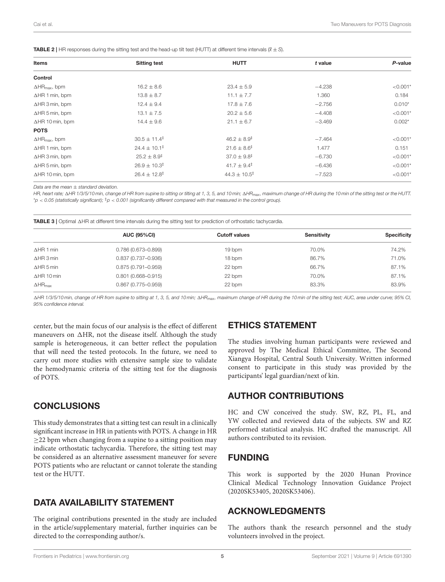Items the Sitting test the HUTT that is alue the P-value P-value **Control**  $\Delta H$ R<sub>max</sub>, bpm  $16.2 \pm 8.6$  23.4 ± 5.9 −4.238  $\sim$  0.001<sup>\*</sup> AHR 1 min, bpm 13.8 ± 8.7 1.1 ± 7.7 1.360 1.84  $\Delta$ HR 3 min, bpm 12.4 ± 9.4 12.4 ± 9.4 17.8 ± 7.6 −2.756 −2.756 0.010\*  $\Delta$ HR 5 min, bpm  $\sim$  13.1 ± 7.5 20.2 ± 5.6  $-4.408$   $\sim$  0.001\*  $\Delta$ HR 10 min, bpm 14.4 ± 9.6 21.1 ± 6.7 −3.469 −3.469 0.002\* **POTS**  $\Delta$ HR<sub>max</sub>, bpm  $30.5 \pm 11.4$ <sup>‡</sup>  $46.2 \pm 8.9$ <sup>‡</sup>  $-7.464$   $< 0.001$ <sup>\*</sup>  $\Delta$ HR 1 min, bpm 24.4  $\pm$  10.1<sup>‡</sup> 21.6  $\pm$  8.6<sup>‡</sup> 1.477 1.477 0.151  $\Delta$ HR 3 min, bpm  $25.2 \pm 8.9$ <sup>‡</sup>  $37.0 \pm 9.8$ <sup>‡</sup>  $-6.730$   $-8.730$   $< 0.001$ \*  $\Delta$ HR 5 min, bpm  $26.9 \pm 10.3$ <sup>‡</sup>  $41.7 \pm 9.4$ <sup>‡</sup>  $-6.436$   $-6.436$   $< 0.001$ <sup>\*</sup>  $\Delta$ HR 10 min, bpm 26.4 ± 12.8<sup>‡</sup> 44.3 ± 10.5<sup>‡</sup> -7.523 <0.001<sup>\*</sup>

<span id="page-4-0"></span>**TABLE 2** | HR responses during the sitting test and the head-up tilt test (HUTT) at different time intervals  $(\overline{x} \pm S)$ .

Data are the mean + standard deviation.

HR, heart rate; AHR 1/3/5/10 min, change of HR from supine to sitting or tilting at 1, 3, 5, and 10 min;  $\Delta H$ R<sub>max</sub>, maximum change of HR during the 10 min of the sitting test or the HUTT.  $p > 0.05$  (statistically significant);  $\frac{1}{p}$  < 0.001 (significantly different compared with that measured in the control group).

<span id="page-4-1"></span>TABLE 3 | Optimal  $\triangle$ HR at different time intervals during the sitting test for prediction of orthostatic tachycardia.

|                            | <b>AUC (95%CI)</b>     | <b>Cutoff values</b> | <b>Sensitivity</b> | <b>Specificity</b> |  |
|----------------------------|------------------------|----------------------|--------------------|--------------------|--|
| $\triangle$ HR 1 min       | 0.786 (0.673-0.899)    | 19 bpm               | 70.0%              | 74.2%              |  |
| $\triangle$ HR 3 min       | 0.837 (0.737-0.936)    | 18 bpm               | 86.7%              | 71.0%              |  |
| $\triangle$ HR 5 min       | $0.875(0.791 - 0.959)$ | 22 bpm               | 66.7%              | 87.1%              |  |
| $\Delta$ HR 10 min         | $0.801(0.668 - 0.915)$ | 22 bpm               | 70.0%              | 87.1%              |  |
| $\Delta$ HR <sub>max</sub> | $0.867(0.775 - 0.959)$ | 22 bpm               | 83.3%              | 83.9%              |  |

AHR 1/3/5/10 min, change of HR from supine to sitting at 1, 3, 5, and 10 min; AHR<sub>max</sub>, maximum change of HR during the 10 min of the sitting test; AUC, area under curve; 95% CI, 95% confidence interval.

center, but the main focus of our analysis is the effect of different maneuvers on  $\triangle$ HR, not the disease itself. Although the study sample is heterogeneous, it can better reflect the population that will need the tested protocols. In the future, we need to carry out more studies with extensive sample size to validate the hemodynamic criteria of the sitting test for the diagnosis of POTS.

## **CONCLUSIONS**

This study demonstrates that a sitting test can result in a clinically significant increase in HR in patients with POTS. A change in HR  $\geq$ 22 bpm when changing from a supine to a sitting position may indicate orthostatic tachycardia. Therefore, the sitting test may be considered as an alternative assessment maneuver for severe POTS patients who are reluctant or cannot tolerate the standing test or the HUTT.

## DATA AVAILABILITY STATEMENT

The original contributions presented in the study are included in the article/supplementary material, further inquiries can be directed to the corresponding author/s.

# ETHICS STATEMENT

The studies involving human participants were reviewed and approved by The Medical Ethical Committee, The Second Xiangya Hospital, Central South University. Written informed consent to participate in this study was provided by the participants' legal guardian/next of kin.

## AUTHOR CONTRIBUTIONS

HC and CW conceived the study. SW, RZ, PL, FL, and YW collected and reviewed data of the subjects. SW and RZ performed statistical analysis. HC drafted the manuscript. All authors contributed to its revision.

## FUNDING

This work is supported by the 2020 Hunan Province Clinical Medical Technology Innovation Guidance Project (2020SK53405, 2020SK53406).

## ACKNOWLEDGMENTS

The authors thank the research personnel and the study volunteers involved in the project.